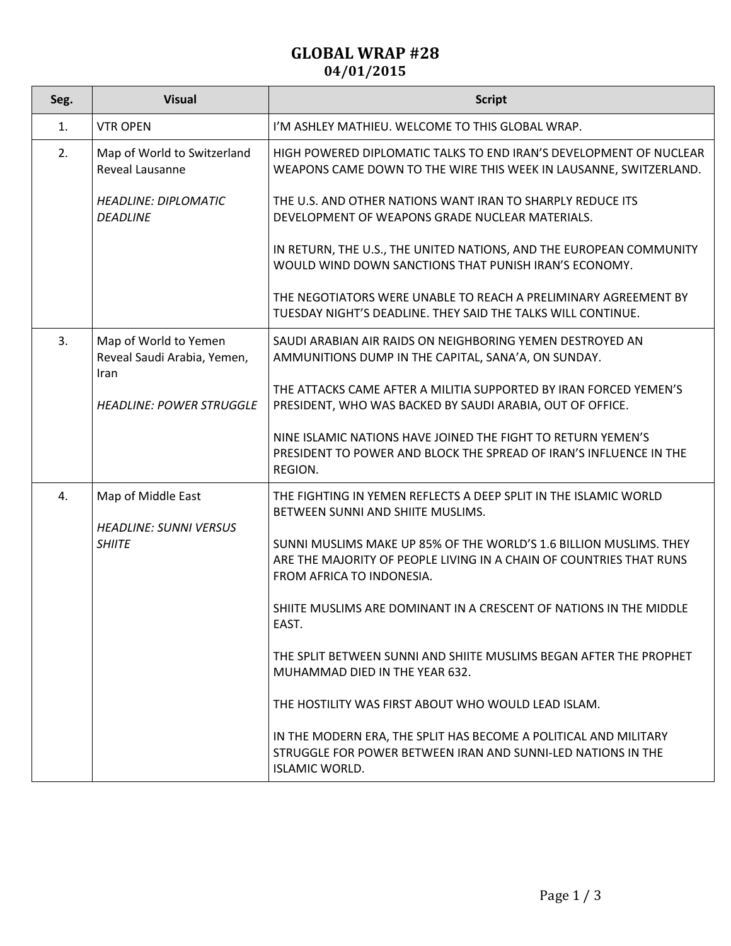## **GLOBAL WRAP #28 04/01/2015**

| Seg. | <b>Visual</b>                                                                                   | <b>Script</b>                                                                                                                                                          |
|------|-------------------------------------------------------------------------------------------------|------------------------------------------------------------------------------------------------------------------------------------------------------------------------|
| 1.   | <b>VTR OPEN</b>                                                                                 | I'M ASHLEY MATHIEU. WELCOME TO THIS GLOBAL WRAP.                                                                                                                       |
| 2.   | Map of World to Switzerland<br>Reveal Lausanne                                                  | HIGH POWERED DIPLOMATIC TALKS TO END IRAN'S DEVELOPMENT OF NUCLEAR<br>WEAPONS CAME DOWN TO THE WIRE THIS WEEK IN LAUSANNE, SWITZERLAND.                                |
|      | <b>HEADLINE: DIPLOMATIC</b><br><b>DEADLINE</b>                                                  | THE U.S. AND OTHER NATIONS WANT IRAN TO SHARPLY REDUCE ITS<br>DEVELOPMENT OF WEAPONS GRADE NUCLEAR MATERIALS.                                                          |
|      |                                                                                                 | IN RETURN, THE U.S., THE UNITED NATIONS, AND THE EUROPEAN COMMUNITY<br>WOULD WIND DOWN SANCTIONS THAT PUNISH IRAN'S ECONOMY.                                           |
|      |                                                                                                 | THE NEGOTIATORS WERE UNABLE TO REACH A PRELIMINARY AGREEMENT BY<br>TUESDAY NIGHT'S DEADLINE. THEY SAID THE TALKS WILL CONTINUE.                                        |
| 3.   | Map of World to Yemen<br>Reveal Saudi Arabia, Yemen,<br>Iran<br><b>HEADLINE: POWER STRUGGLE</b> | SAUDI ARABIAN AIR RAIDS ON NEIGHBORING YEMEN DESTROYED AN<br>AMMUNITIONS DUMP IN THE CAPITAL, SANA'A, ON SUNDAY.                                                       |
|      |                                                                                                 | THE ATTACKS CAME AFTER A MILITIA SUPPORTED BY IRAN FORCED YEMEN'S<br>PRESIDENT, WHO WAS BACKED BY SAUDI ARABIA, OUT OF OFFICE.                                         |
|      |                                                                                                 | NINE ISLAMIC NATIONS HAVE JOINED THE FIGHT TO RETURN YEMEN'S<br>PRESIDENT TO POWER AND BLOCK THE SPREAD OF IRAN'S INFLUENCE IN THE<br>REGION.                          |
| 4.   | Map of Middle East<br><b>HEADLINE: SUNNI VERSUS</b><br><b>SHIITE</b>                            | THE FIGHTING IN YEMEN REFLECTS A DEEP SPLIT IN THE ISLAMIC WORLD<br>BETWEEN SUNNI AND SHIITE MUSLIMS.                                                                  |
|      |                                                                                                 | SUNNI MUSLIMS MAKE UP 85% OF THE WORLD'S 1.6 BILLION MUSLIMS. THEY<br>ARE THE MAJORITY OF PEOPLE LIVING IN A CHAIN OF COUNTRIES THAT RUNS<br>FROM AFRICA TO INDONESIA. |
|      |                                                                                                 | SHIITE MUSLIMS ARE DOMINANT IN A CRESCENT OF NATIONS IN THE MIDDLE<br>EAST.                                                                                            |
|      |                                                                                                 | THE SPLIT BETWEEN SUNNI AND SHIITE MUSLIMS BEGAN AFTER THE PROPHET<br>MUHAMMAD DIED IN THE YEAR 632.                                                                   |
|      |                                                                                                 | THE HOSTILITY WAS FIRST ABOUT WHO WOULD LEAD ISLAM.                                                                                                                    |
|      |                                                                                                 | IN THE MODERN ERA, THE SPLIT HAS BECOME A POLITICAL AND MILITARY<br>STRUGGLE FOR POWER BETWEEN IRAN AND SUNNI-LED NATIONS IN THE<br><b>ISLAMIC WORLD.</b>              |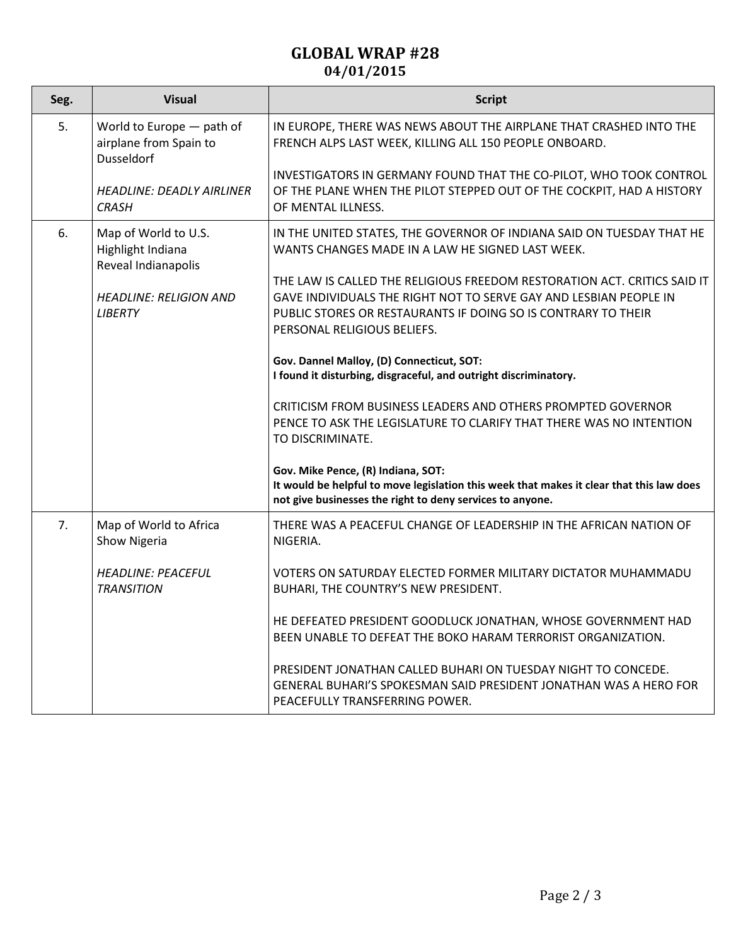## **GLOBAL WRAP #28 04/01/2015**

| Seg. | <b>Visual</b>                                                            | <b>Script</b>                                                                                                                                                                                                                                 |
|------|--------------------------------------------------------------------------|-----------------------------------------------------------------------------------------------------------------------------------------------------------------------------------------------------------------------------------------------|
| 5.   | World to Europe - path of<br>airplane from Spain to<br><b>Dusseldorf</b> | IN EUROPE, THERE WAS NEWS ABOUT THE AIRPLANE THAT CRASHED INTO THE<br>FRENCH ALPS LAST WEEK, KILLING ALL 150 PEOPLE ONBOARD.                                                                                                                  |
|      | <b>HEADLINE: DEADLY AIRLINER</b><br><b>CRASH</b>                         | INVESTIGATORS IN GERMANY FOUND THAT THE CO-PILOT, WHO TOOK CONTROL<br>OF THE PLANE WHEN THE PILOT STEPPED OUT OF THE COCKPIT, HAD A HISTORY<br>OF MENTAL ILLNESS.                                                                             |
| 6.   | Map of World to U.S.<br>Highlight Indiana<br>Reveal Indianapolis         | IN THE UNITED STATES, THE GOVERNOR OF INDIANA SAID ON TUESDAY THAT HE<br>WANTS CHANGES MADE IN A LAW HE SIGNED LAST WEEK.                                                                                                                     |
|      | <b>HEADLINE: RELIGION AND</b><br><b>LIBERTY</b>                          | THE LAW IS CALLED THE RELIGIOUS FREEDOM RESTORATION ACT. CRITICS SAID IT<br>GAVE INDIVIDUALS THE RIGHT NOT TO SERVE GAY AND LESBIAN PEOPLE IN<br>PUBLIC STORES OR RESTAURANTS IF DOING SO IS CONTRARY TO THEIR<br>PERSONAL RELIGIOUS BELIEFS. |
|      |                                                                          | Gov. Dannel Malloy, (D) Connecticut, SOT:<br>I found it disturbing, disgraceful, and outright discriminatory.                                                                                                                                 |
|      |                                                                          | CRITICISM FROM BUSINESS LEADERS AND OTHERS PROMPTED GOVERNOR<br>PENCE TO ASK THE LEGISLATURE TO CLARIFY THAT THERE WAS NO INTENTION<br>TO DISCRIMINATE.                                                                                       |
|      |                                                                          | Gov. Mike Pence, (R) Indiana, SOT:<br>It would be helpful to move legislation this week that makes it clear that this law does<br>not give businesses the right to deny services to anyone.                                                   |
| 7.   | Map of World to Africa<br>Show Nigeria                                   | THERE WAS A PEACEFUL CHANGE OF LEADERSHIP IN THE AFRICAN NATION OF<br>NIGERIA.                                                                                                                                                                |
|      | <b>HEADLINE: PEACEFUL</b><br><b>TRANSITION</b>                           | VOTERS ON SATURDAY ELECTED FORMER MILITARY DICTATOR MUHAMMADU<br>BUHARI, THE COUNTRY'S NEW PRESIDENT.                                                                                                                                         |
|      |                                                                          | HE DEFEATED PRESIDENT GOODLUCK JONATHAN, WHOSE GOVERNMENT HAD<br>BEEN UNABLE TO DEFEAT THE BOKO HARAM TERRORIST ORGANIZATION.                                                                                                                 |
|      |                                                                          | PRESIDENT JONATHAN CALLED BUHARI ON TUESDAY NIGHT TO CONCEDE.<br>GENERAL BUHARI'S SPOKESMAN SAID PRESIDENT JONATHAN WAS A HERO FOR<br>PEACEFULLY TRANSFERRING POWER.                                                                          |